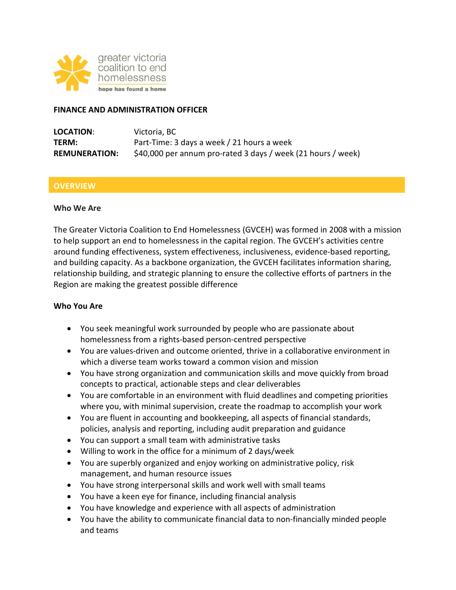

#### **FINANCE AND ADMINISTRATION OFFICER**

| LOCATION:            | Victoria, BC                                                 |
|----------------------|--------------------------------------------------------------|
| TERM:                | Part-Time: 3 days a week / 21 hours a week                   |
| <b>REMUNERATION:</b> | \$40,000 per annum pro-rated 3 days / week (21 hours / week) |

### **OVERVIEW**

#### **Who We Are**

The Greater Victoria Coalition to End Homelessness (GVCEH) was formed in 2008 with a mission to help support an end to homelessness in the capital region. The GVCEH's activities centre around funding effectiveness, system effectiveness, inclusiveness, evidence-based reporting, and building capacity. As a backbone organization, the GVCEH facilitates information sharing, relationship building, and strategic planning to ensure the collective efforts of partners in the Region are making the greatest possible difference

#### **Who You Are**

- You seek meaningful work surrounded by people who are passionate about homelessness from a rights-based person-centred perspective
- You are values-driven and outcome oriented, thrive in a collaborative environment in which a diverse team works toward a common vision and mission
- You have strong organization and communication skills and move quickly from broad concepts to practical, actionable steps and clear deliverables
- You are comfortable in an environment with fluid deadlines and competing priorities where you, with minimal supervision, create the roadmap to accomplish your work
- You are fluent in accounting and bookkeeping, all aspects of financial standards, policies, analysis and reporting, including audit preparation and guidance
- You can support a small team with administrative tasks
- Willing to work in the office for a minimum of 2 days/week
- You are superbly organized and enjoy working on administrative policy, risk management, and human resource issues
- You have strong interpersonal skills and work well with small teams
- You have a keen eye for finance, including financial analysis
- You have knowledge and experience with all aspects of administration
- You have the ability to communicate financial data to non-financially minded people and teams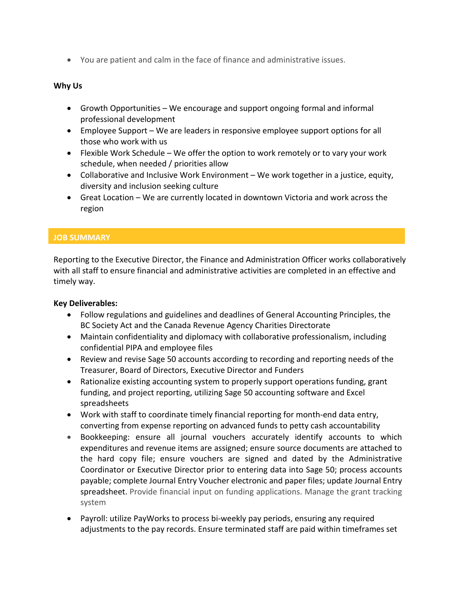• You are patient and calm in the face of finance and administrative issues.

## **Why Us**

- Growth Opportunities We encourage and support ongoing formal and informal professional development
- Employee Support We are leaders in responsive employee support options for all those who work with us
- Flexible Work Schedule We offer the option to work remotely or to vary your work schedule, when needed / priorities allow
- Collaborative and Inclusive Work Environment We work together in a justice, equity, diversity and inclusion seeking culture
- Great Location We are currently located in downtown Victoria and work across the region

## **JOB SUMMARY**

 $\overline{1}$ 

Reporting to the Executive Director, the Finance and Administration Officer works collaboratively with all staff to ensure financial and administrative activities are completed in an effective and timely way.

### **Key Deliverables:**

- Follow regulations and guidelines and deadlines of General Accounting Principles, the BC Society Act and the Canada Revenue Agency Charities Directorate
- Maintain confidentiality and diplomacy with collaborative professionalism, including confidential PIPA and employee files
- Review and revise Sage 50 accounts according to recording and reporting needs of the Treasurer, Board of Directors, Executive Director and Funders
- Rationalize existing accounting system to properly support operations funding, grant funding, and project reporting, utilizing Sage 50 accounting software and Excel spreadsheets
- Work with staff to coordinate timely financial reporting for month-end data entry, converting from expense reporting on advanced funds to petty cash accountability
- Bookkeeping: ensure all journal vouchers accurately identify accounts to which expenditures and revenue items are assigned; ensure source documents are attached to the hard copy file; ensure vouchers are signed and dated by the Administrative Coordinator or Executive Director prior to entering data into Sage 50; process accounts payable; complete Journal Entry Voucher electronic and paper files; update Journal Entry spreadsheet. Provide financial input on funding applications. Manage the grant tracking system
- Payroll: utilize PayWorks to process bi-weekly pay periods, ensuring any required adjustments to the pay records. Ensure terminated staff are paid within timeframes set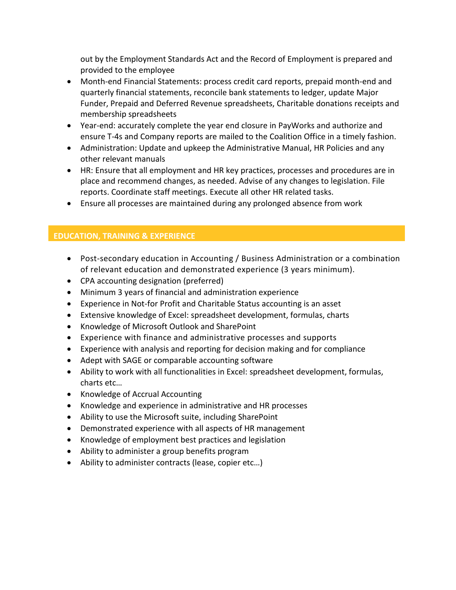out by the Employment Standards Act and the Record of Employment is prepared and provided to the employee

- Month-end Financial Statements: process credit card reports, prepaid month-end and quarterly financial statements, reconcile bank statements to ledger, update Major Funder, Prepaid and Deferred Revenue spreadsheets, Charitable donations receipts and membership spreadsheets
- Year-end: accurately complete the year end closure in PayWorks and authorize and ensure T-4s and Company reports are mailed to the Coalition Office in a timely fashion.
- Administration: Update and upkeep the Administrative Manual, HR Policies and any other relevant manuals
- HR: Ensure that all employment and HR key practices, processes and procedures are in place and recommend changes, as needed. Advise of any changes to legislation. File reports. Coordinate staff meetings. Execute all other HR related tasks.
- Ensure all processes are maintained during any prolonged absence from work

# **EDUCATION, TRAINING & EXPERIENCE**

- Post-secondary education in Accounting / Business Administration or a combination of relevant education and demonstrated experience (3 years minimum).
- CPA accounting designation (preferred)
- Minimum 3 years of financial and administration experience
- Experience in Not-for Profit and Charitable Status accounting is an asset
- Extensive knowledge of Excel: spreadsheet development, formulas, charts
- Knowledge of Microsoft Outlook and SharePoint
- Experience with finance and administrative processes and supports
- Experience with analysis and reporting for decision making and for compliance
- Adept with SAGE or comparable accounting software
- Ability to work with all functionalities in Excel: spreadsheet development, formulas, charts etc…
- Knowledge of Accrual Accounting
- Knowledge and experience in administrative and HR processes
- Ability to use the Microsoft suite, including SharePoint
- Demonstrated experience with all aspects of HR management
- Knowledge of employment best practices and legislation
- Ability to administer a group benefits program
- Ability to administer contracts (lease, copier etc…)